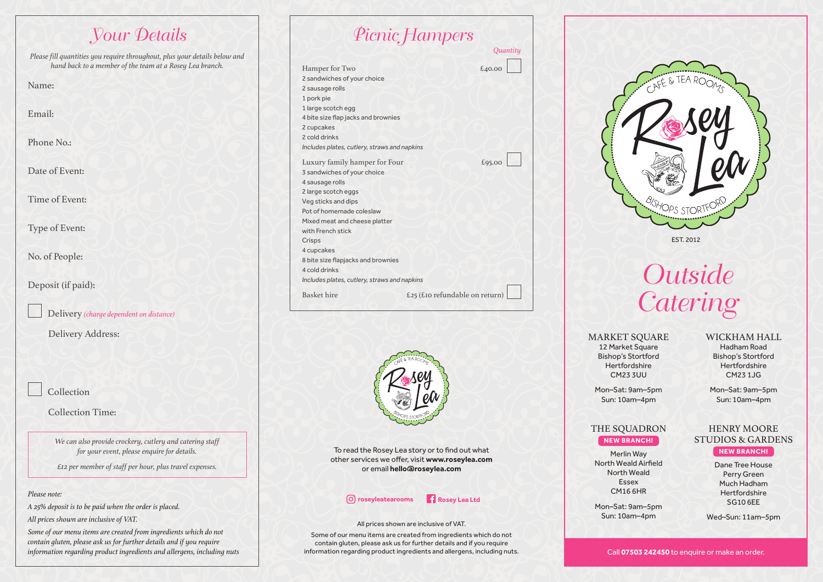# Your Details *Please fill quantities you require throughout, plus your details below and hand back to a member of the team at a Rosey Lea branch.* Name: Email: Phone No.: Date of Event: Time of Event: Type of Event: No. of People: Deposit (if paid): Delivery *(charge dependent on distance)* Delivery Address: Collection Collection Time: *We can also provide crockery, cutlery and catering staff for your event, please enquire for details. £12 per member of staff per hour, plus travel expenses.*

### *Please note:*

*A 25% deposit is to be paid when the order is placed.*

*All prices shown are inclusive of VAT.*

*Some of our menu items are created from ingredients which do not contain gluten, please ask us for further details and if you require information regarding product ingredients and allergens, including nuts*

| <i>Eterue Flampers</i>                                                                                                                                                                                                                                                                                                                         |          |
|------------------------------------------------------------------------------------------------------------------------------------------------------------------------------------------------------------------------------------------------------------------------------------------------------------------------------------------------|----------|
|                                                                                                                                                                                                                                                                                                                                                | Quantity |
| Hamper for Two<br>2 sandwiches of your choice<br>2 sausage rolls<br>1 pork pie<br>1 large scotch egg<br>4 bite size flap jacks and brownies<br>2 cupcakes<br>2 cold drinks<br>Includes plates, cutlery, straws and napkins                                                                                                                     | £40.00   |
| Luxury family hamper for Four<br>3 sandwiches of your choice<br>4 sausage rolls<br>2 large scotch eggs<br>Veg sticks and dips<br>Pot of homemade coleslaw<br>Mixed meat and cheese platter<br>with French stick<br>Crisps<br>4 cupcakes<br>8 bite size flapjacks and brownies<br>4 cold drinks<br>Includes plates, cutlery, straws and napkins | £95.00   |
| Basket hire<br>£25 (£10 refundable on return)                                                                                                                                                                                                                                                                                                  |          |

 $\Phi$ 



To read the Rosey Lea story or to find out what other services we offer, visit **www.roseylea.com**  or email **hello@roseylea.com**

## *C* roseyleatearooms **Rosey Lea Ltd**

### All prices shown are inclusive of VAT.

Some of our menu items are created from ingredients which do not contain gluten, please ask us for further details and if you require information regarding product ingredients and allergens, including nuts.



**Outside Catering** 

**MARKET SOUARE** 12 Market Square Bishop's Stortford Hertfordshire CM23 3UU

## WICKHAM HALL

Hadham Road Bishop's Stortford Hertfordshire CM23 1JG

Mon–Sat: 9am–5pm Sun: 10am–4pm

STUDIOS & GARDENS **NEW BRANCH!** Dane Tree House Perry Green Much Hadham **Hertfordshire** 

Mon–Sat: 9am–5pm Sun: 10am–4pm

# HENRY MOORE

## THE SQUADRON **NEW BRANCH!**

Merlin Way North Weald Airfield North Weald Essex CM16 6HR

Mon–Sat: 9am–5pm Sun: 10am–4pm

SG10 6EE Wed–Sun: 11am–5pm